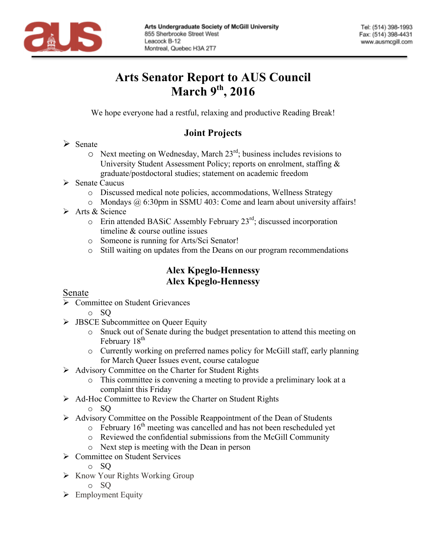

# **Arts Senator Report to AUS Council March 9th , 2016**

We hope everyone had a restful, relaxing and productive Reading Break!

## **Joint Projects**

- $\triangleright$  Senate
	- $\circ$  Next meeting on Wednesday, March 23<sup>rd</sup>; business includes revisions to University Student Assessment Policy; reports on enrolment, staffing & graduate/postdoctoral studies; statement on academic freedom
- $\triangleright$  Senate Caucus
	- o Discussed medical note policies, accommodations, Wellness Strategy
	- o Mondays @ 6:30pm in SSMU 403: Come and learn about university affairs!
- $\triangleright$  Arts & Science
	- $\circ$  Erin attended BASiC Assembly February 23<sup>rd</sup>; discussed incorporation timeline & course outline issues
	- o Someone is running for Arts/Sci Senator!
	- o Still waiting on updates from the Deans on our program recommendations

### **Alex Kpeglo-Hennessy Alex Kpeglo-Hennessy**

#### Senate

- $\triangleright$  Committee on Student Grievances
	- o SQ
- $\triangleright$  JBSCE Subcommittee on Oueer Equity
	- o Snuck out of Senate during the budget presentation to attend this meeting on February 18<sup>th</sup>
	- o Currently working on preferred names policy for McGill staff, early planning for March Queer Issues event, course catalogue
- $\triangleright$  Advisory Committee on the Charter for Student Rights
	- o This committee is convening a meeting to provide a preliminary look at a complaint this Friday
- Ø Ad-Hoc Committee to Review the Charter on Student Rights
	- o SQ
- $\triangleright$  Advisory Committee on the Possible Reappointment of the Dean of Students
	- $\circ$  February 16<sup>th</sup> meeting was cancelled and has not been rescheduled yet
		- o Reviewed the confidential submissions from the McGill Community
	- o Next step is meeting with the Dean in person
- $\triangleright$  Committee on Student Services
	- o SQ
- $\triangleright$  Know Your Rights Working Group
	- o SQ
- $\triangleright$  Employment Equity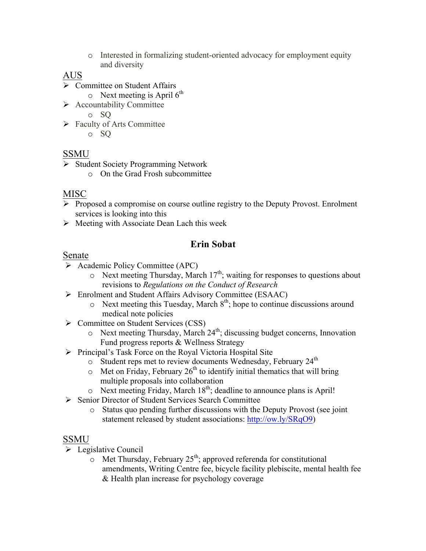o Interested in formalizing student-oriented advocacy for employment equity and diversity

#### AUS

- $\triangleright$  Committee on Student Affairs
	- $\circ$  Next meeting is April 6<sup>th</sup>
- $\triangleright$  Accountability Committee

o SQ

 $\triangleright$  Faculty of Arts Committee

o SQ

### **SSMU**

- Ø Student Society Programming Network
	- o On the Grad Frosh subcommittee

#### MISC

- $\triangleright$  Proposed a compromise on course outline registry to the Deputy Provost. Enrolment services is looking into this
- $\triangleright$  Meeting with Associate Dean Lach this week

## **Erin Sobat**

#### Senate

- $\triangleright$  Academic Policy Committee (APC)
	- $\circ$  Next meeting Thursday, March 17<sup>th</sup>; waiting for responses to questions about revisions to *Regulations on the Conduct of Research*
- Ø Enrolment and Student Affairs Advisory Committee (ESAAC)
	- $\circ$  Next meeting this Tuesday, March  $8<sup>th</sup>$ ; hope to continue discussions around medical note policies
- Ø Committee on Student Services (CSS)
	- $\circ$  Next meeting Thursday, March 24<sup>th</sup>; discussing budget concerns, Innovation Fund progress reports & Wellness Strategy
- $\triangleright$  Principal's Task Force on the Royal Victoria Hospital Site
	- o Student reps met to review documents Wednesday, February 24<sup>th</sup>
	- $\circ$  Met on Friday, February 26<sup>th</sup> to identify initial thematics that will bring multiple proposals into collaboration
	- $\circ$  Next meeting Friday, March 18<sup>th</sup>; deadline to announce plans is April!
- Ø Senior Director of Student Services Search Committee
	- o Status quo pending further discussions with the Deputy Provost (see joint statement released by student associations: http://ow.ly/SRqO9)

#### SSMU

- $\triangleright$  Legislative Council
	- $\sim$  Met Thursday, February 25<sup>th</sup>; approved referenda for constitutional amendments, Writing Centre fee, bicycle facility plebiscite, mental health fee & Health plan increase for psychology coverage